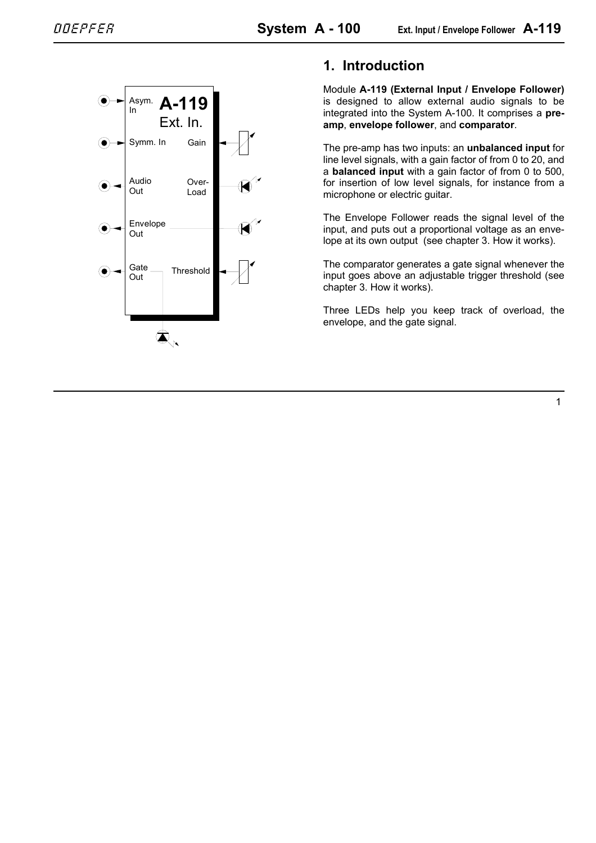

# **1. Introduction**

Module **A-119 (External Input / Envelope Follower)** is designed to allow external audio signals to be integrated into the System A-100. It comprises a **preamp**, **envelope follower**, and **comparator**.

The pre-amp has two inputs: an **unbalanced input** for line level signals, with a gain factor of from 0 to 20, and a **balanced input** with a gain factor of from 0 to 500, for insertion of low level signals, for instance from a microphone or electric guitar.

The Envelope Follower reads the signal level of the input, and puts out a proportional voltage as an envelope at its own output (see chapter 3. How it works).

The comparator generates a gate signal whenever the input goes above an adjustable trigger threshold (see chapter 3. How it works).

Three LEDs help you keep track of overload, the envelope, and the gate signal.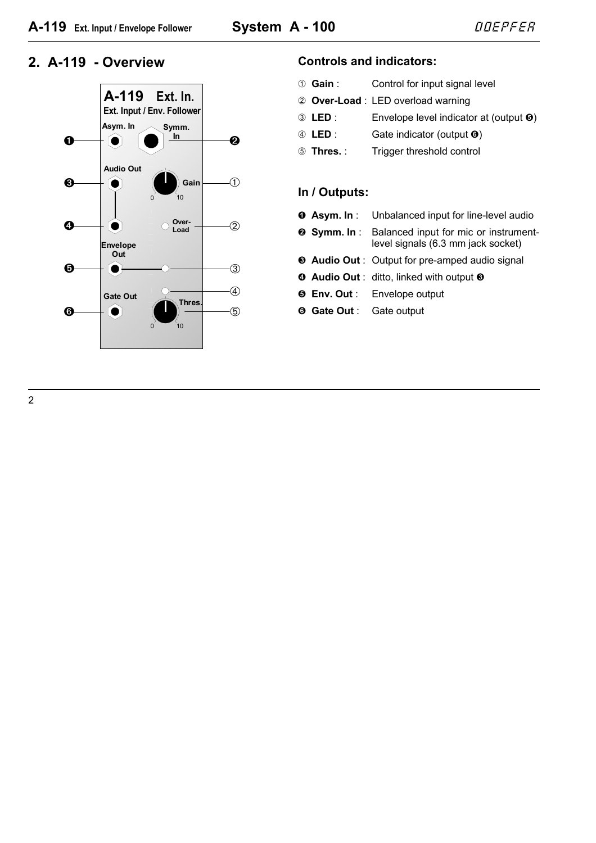

### **2. A-119 - Overview Controls and indicators:**

| ① Gain: | Control for input signal level     |
|---------|------------------------------------|
|         | 2 Over-Load : LED overload warning |

- 3 LED : Envelope level indicator at (output  $\Theta$ )
- 4 LED : Gate indicator (output  $\odot$ )
- 5 **Thres.** : Trigger threshold control

## **In / Outputs:**

- **0 Asym. In :** Unbalanced input for line-level audio
- **8 Symm. In : Balanced input for mic or instrument**level signals (6.3 mm jack socket)
- § **Audio Out** : Output for pre-amped audio signal
- **4** Audio Out : ditto, linked with output <sup>®</sup>
- **6 Env. Out** : Envelope output
- & **Gate Out** : Gate output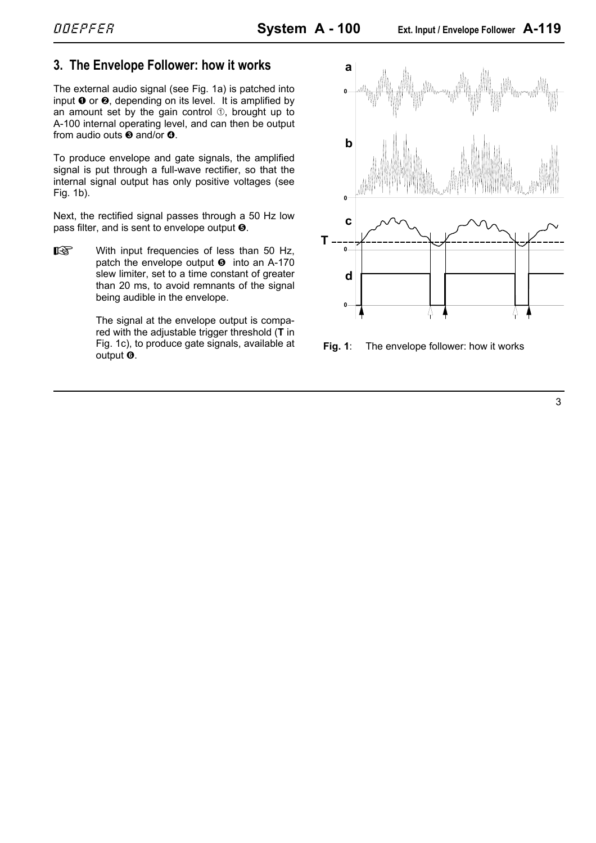## **3. The Envelope Follower: how it works**

The external audio signal (see Fig. 1a) is patched into input  $\bullet$  or  $\bullet$ , depending on its level. It is amplified by an amount set by the gain control  $\Phi$ , brought up to A-100 internal operating level, and can then be output from audio outs  $\boldsymbol{\Theta}$  and/or  $\boldsymbol{\Theta}$ .

To produce envelope and gate signals, the amplified signal is put through a full-wave rectifier, so that the internal signal output has only positive voltages (see Fig. 1b).

Next, the rectified signal passes through a 50 Hz low pass filter, and is sent to envelope output  $\Theta$ .

 $\mathbb{R}$  With input frequencies of less than 50 Hz, patch the envelope output  $\Theta$  into an A-170 slew limiter, set to a time constant of greater than 20 ms, to avoid remnants of the signal being audible in the envelope.

> The signal at the envelope output is compared with the adjustable trigger threshold (**T** in Fig. 1c), to produce gate signals, available at Fig. 1c), to produce gate signals, available at **Fig. 1**: The envelope follower: how it works output **O**.

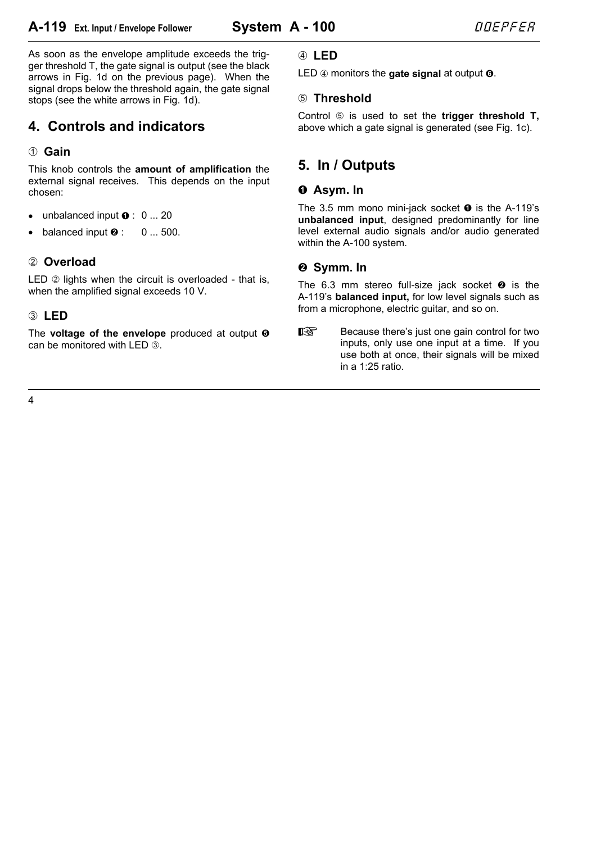# **A-119** Ext. Input / Envelope Follower **System A - 100**  $\angle$  *DDEPFER*

As soon as the envelope amplitude exceeds the trigger threshold T, the gate signal is output (see the black arrows in Fig. 1d on the previous page). When the signal drops below the threshold again, the gate signal stops (see the white arrows in Fig. 1d).

# **4. Controls and indicators**

## 1 **Gain**

This knob controls the **amount of amplification** the external signal receives. This depends on the input chosen:

- unbalanced input  $\bullet$  : 0 ... 20
- balanced input  $\bullet$  : 0 ... 500.

## 2 **Overload**

LED  $\oslash$  lights when the circuit is overloaded - that is, when the amplified signal exceeds 10 V.

## 3 **LED**

The **voltage of the envelope** produced at output  $\Theta$ can be monitored with LED 3.

## 4 **LED**

LED  $\circled{a}$  monitors the **gate signal** at output  $\circled{b}$ .

#### 5 **Threshold**

Control 5 is used to set the **trigger threshold T,** above which a gate signal is generated (see Fig. 1c).

# **5. In / Outputs**

## **0** Asym. In

The 3.5 mm mono mini-jack socket  $\bullet$  is the A-119's **unbalanced input**, designed predominantly for line level external audio signals and/or audio generated within the A-100 system.

## $\odot$  **Symm. In**

The 6.3 mm stereo full-size jack socket  $\bullet$  is the A-119's **balanced input,** for low level signals such as from a microphone, electric guitar, and so on.

Because there's just one gain control for two inputs, only use one input at a time. If you use both at once, their signals will be mixed in a 1:25 ratio.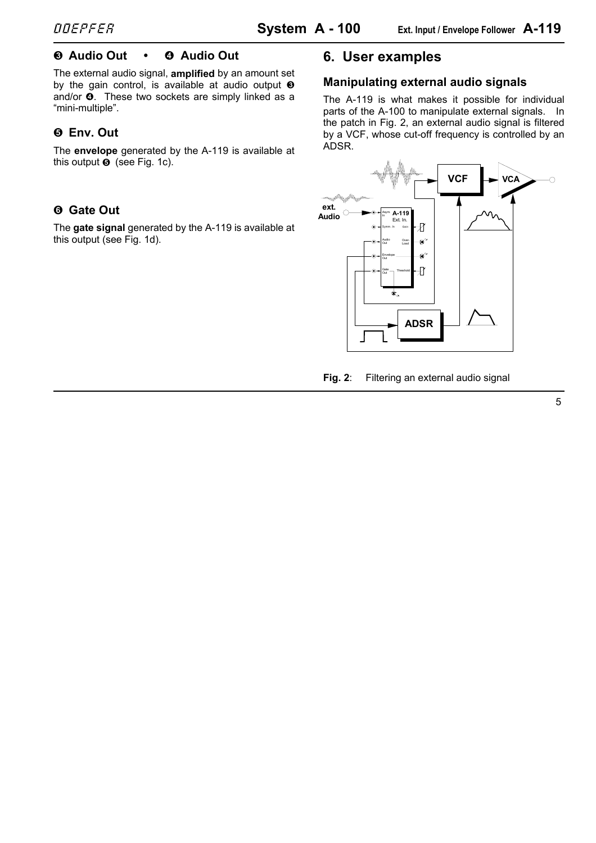## § **Audio Out •** \$ **Audio Out**

The external audio signal, **amplified** by an amount set by the gain control, is available at audio output  $\Theta$ and/or  $\Phi$ . These two sockets are simply linked as a "mini-multiple".

## % **Env. Out**

The **envelope** generated by the A-119 is available at this output  $\Theta$  (see Fig. 1c).

# & **Gate Out**

The **gate signal** generated by the A-119 is available at this output (see Fig. 1d).

# **6. User examples**

#### **Manipulating external audio signals**

The A-119 is what makes it possible for individual parts of the A-100 to manipulate external signals. In the patch in Fig. 2, an external audio signal is filtered by a VCF, whose cut-off frequency is controlled by an ADSR.



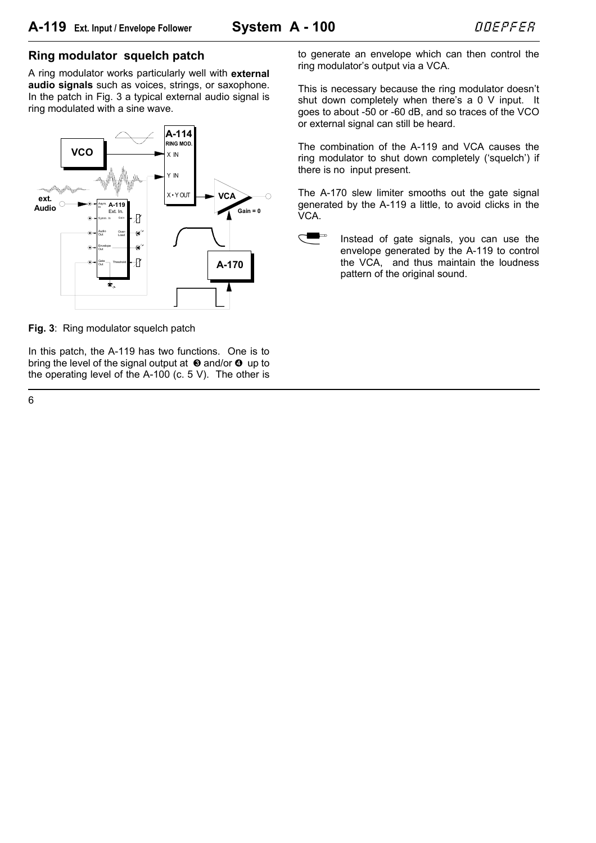#### **Ring modulator squelch patch**

A ring modulator works particularly well with **external audio signals** such as voices, strings, or saxophone. In the patch in Fig. 3 a typical external audio signal is ring modulated with a sine wave.



**Fig. 3**: Ring modulator squelch patch

In this patch, the A-119 has two functions. One is to bring the level of the signal output at  $\Theta$  and/or  $\Theta$  up to the operating level of the A-100 (c. 5 V). The other is to generate an envelope which can then control the ring modulator's output via a VCA.

This is necessary because the ring modulator doesn't shut down completely when there's a 0 V input. It goes to about -50 or -60 dB, and so traces of the VCO or external signal can still be heard.

The combination of the A-119 and VCA causes the ring modulator to shut down completely ('squelch') if there is no input present.

The A-170 slew limiter smooths out the gate signal generated by the A-119 a little, to avoid clicks in the VCA.

Instead of gate signals, you can use the envelope generated by the A-119 to control the VCA, and thus maintain the loudness pattern of the original sound.